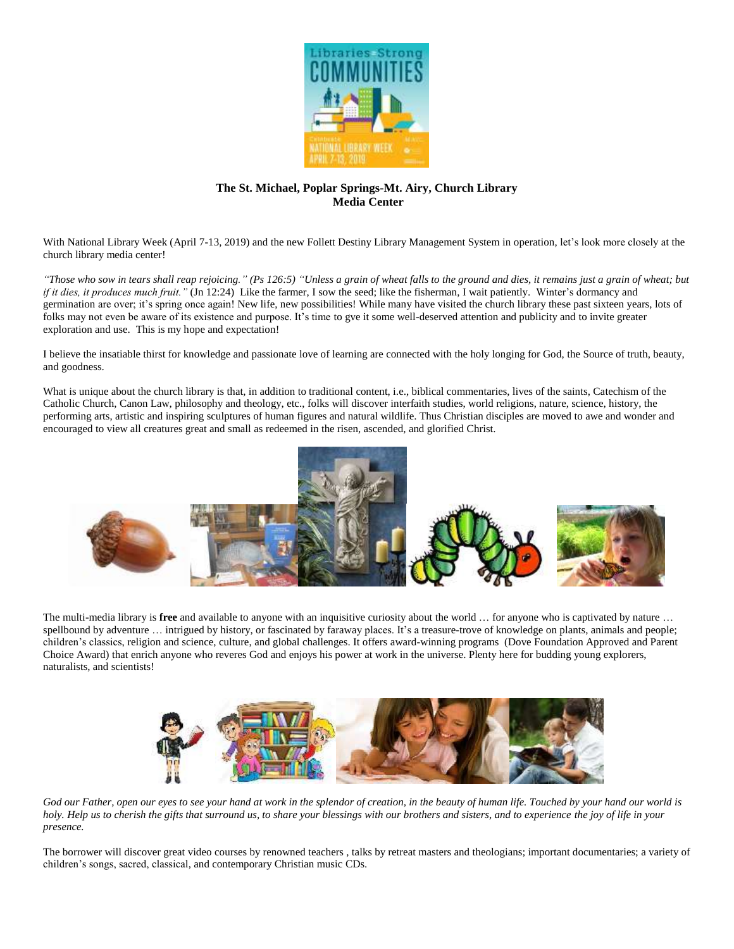

## **The St. Michael, Poplar Springs-Mt. Airy, Church Library Media Center**

With National Library Week (April 7-13, 2019) and the new Follett Destiny Library Management System in operation, let's look more closely at the church library media center!

*"Those who sow in tears shall reap rejoicing." (Ps 126:5) "Unless a grain of wheat falls to the ground and dies, it remains just a grain of wheat; but if it dies, it produces much fruit."* (Jn 12:24) Like the farmer, I sow the seed; like the fisherman, I wait patiently. Winter's dormancy and germination are over; it's spring once again! New life, new possibilities! While many have visited the church library these past sixteen years, lots of folks may not even be aware of its existence and purpose. It's time to gve it some well-deserved attention and publicity and to invite greater exploration and use. This is my hope and expectation!

I believe the insatiable thirst for knowledge and passionate love of learning are connected with the holy longing for God, the Source of truth, beauty, and goodness.

What is unique about the church library is that, in addition to traditional content, i.e., biblical commentaries, lives of the saints, Catechism of the Catholic Church, Canon Law, philosophy and theology, etc., folks will discover interfaith studies, world religions, nature, science, history, the performing arts, artistic and inspiring sculptures of human figures and natural wildlife. Thus Christian disciples are moved to awe and wonder and encouraged to view all creatures great and small as redeemed in the risen, ascended, and glorified Christ.



The multi-media library is **free** and available to anyone with an inquisitive curiosity about the world … for anyone who is captivated by nature … spellbound by adventure ... intrigued by history, or fascinated by faraway places. It's a treasure-trove of knowledge on plants, animals and people; children's classics, religion and science, culture, and global challenges. It offers award-winning programs (Dove Foundation Approved and Parent Choice Award) that enrich anyone who reveres God and enjoys his power at work in the universe. Plenty here for budding young explorers, naturalists, and scientists!



God our Father, open our eyes to see your hand at work in the splendor of creation, in the beauty of human life. Touched by your hand our world is *holy. Help us to cherish the gifts that surround us, to share your blessings with our brothers and sisters, and to experience the joy of life in your presence.*

The borrower will discover great video courses by renowned teachers , talks by retreat masters and theologians; important documentaries; a variety of children's songs, sacred, classical, and contemporary Christian music CDs.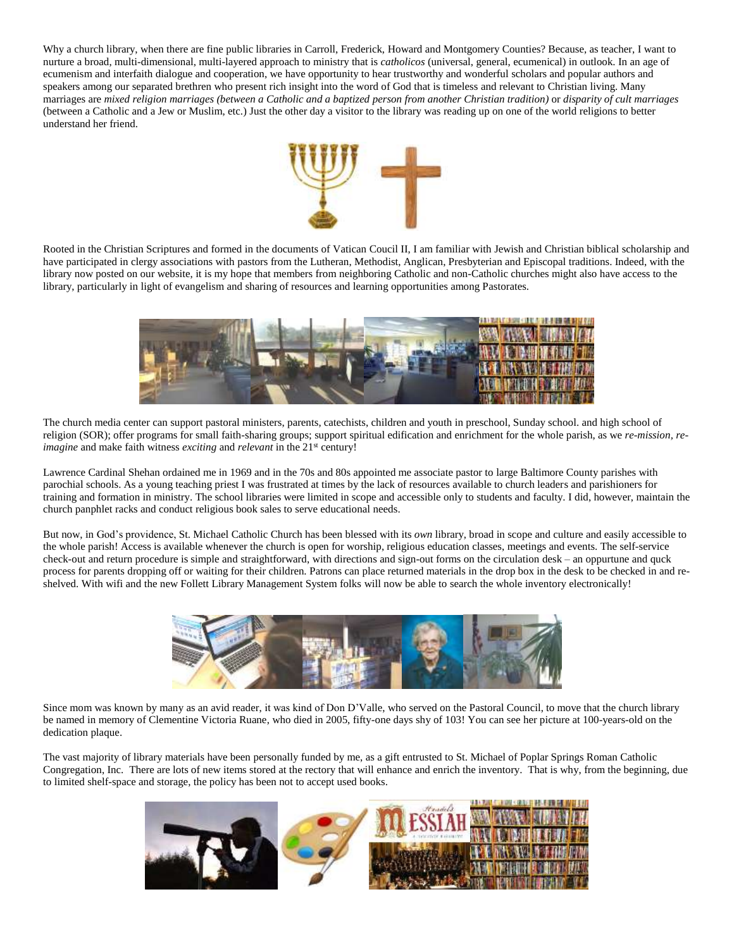Why a church library, when there are fine public libraries in Carroll, Frederick, Howard and Montgomery Counties? Because, as teacher, I want to nurture a broad, multi-dimensional, multi-layered approach to ministry that is *catholicos* (universal, general, ecumenical) in outlook. In an age of ecumenism and interfaith dialogue and cooperation, we have opportunity to hear trustworthy and wonderful scholars and popular authors and speakers among our separated brethren who present rich insight into the word of God that is timeless and relevant to Christian living. Many marriages are *mixed religion marriages (between a Catholic and a baptized person from another Christian tradition)* or *disparity of cult marriages*  (between a Catholic and a Jew or Muslim, etc.) Just the other day a visitor to the library was reading up on one of the world religions to better understand her friend.



Rooted in the Christian Scriptures and formed in the documents of Vatican Coucil II, I am familiar with Jewish and Christian biblical scholarship and have participated in clergy associations with pastors from the Lutheran, Methodist, Anglican, Presbyterian and Episcopal traditions. Indeed, with the library now posted on our website, it is my hope that members from neighboring Catholic and non-Catholic churches might also have access to the library, particularly in light of evangelism and sharing of resources and learning opportunities among Pastorates.



The church media center can support pastoral ministers, parents, catechists, children and youth in preschool, Sunday school. and high school of religion (SOR); offer programs for small faith-sharing groups; support spiritual edification and enrichment for the whole parish, as we *re-mission, reimagine* and make faith witness *exciting* and *relevant* in the 21<sup>st</sup> century!

Lawrence Cardinal Shehan ordained me in 1969 and in the 70s and 80s appointed me associate pastor to large Baltimore County parishes with parochial schools. As a young teaching priest I was frustrated at times by the lack of resources available to church leaders and parishioners for training and formation in ministry. The school libraries were limited in scope and accessible only to students and faculty. I did, however, maintain the church panphlet racks and conduct religious book sales to serve educational needs.

But now, in God's providence, St. Michael Catholic Church has been blessed with its *own* library, broad in scope and culture and easily accessible to the whole parish! Access is available whenever the church is open for worship, religious education classes, meetings and events. The self-service check-out and return procedure is simple and straightforward, with directions and sign-out forms on the circulation desk – an oppurtune and quck process for parents dropping off or waiting for their children. Patrons can place returned materials in the drop box in the desk to be checked in and reshelved. With wifi and the new Follett Library Management System folks will now be able to search the whole inventory electronically!



Since mom was known by many as an avid reader, it was kind of Don D'Valle, who served on the Pastoral Council, to move that the church library be named in memory of Clementine Victoria Ruane, who died in 2005, fifty-one days shy of 103! You can see her picture at 100-years-old on the dedication plaque.

The vast majority of library materials have been personally funded by me, as a gift entrusted to St. Michael of Poplar Springs Roman Catholic Congregation, Inc. There are lots of new items stored at the rectory that will enhance and enrich the inventory. That is why, from the beginning, due to limited shelf-space and storage, the policy has been not to accept used books.

![](_page_1_Picture_10.jpeg)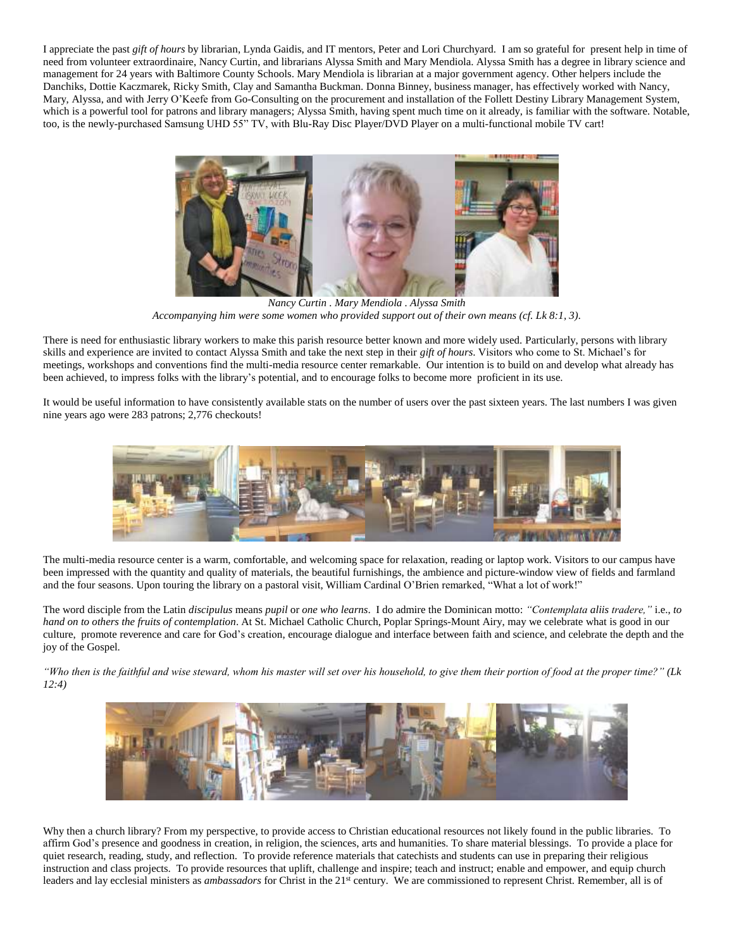I appreciate the past *gift of hours* by librarian, Lynda Gaidis, and IT mentors, Peter and Lori Churchyard. I am so grateful for present help in time of need from volunteer extraordinaire, Nancy Curtin, and librarians Alyssa Smith and Mary Mendiola. Alyssa Smith has a degree in library science and management for 24 years with Baltimore County Schools. Mary Mendiola is librarian at a major government agency. Other helpers include the Danchiks, Dottie Kaczmarek, Ricky Smith, Clay and Samantha Buckman. Donna Binney, business manager, has effectively worked with Nancy, Mary, Alyssa, and with Jerry O'Keefe from Go-Consulting on the procurement and installation of the Follett Destiny Library Management System, which is a powerful tool for patrons and library managers; Alyssa Smith, having spent much time on it already, is familiar with the software. Notable, too, is the newly-purchased Samsung UHD 55" TV, with Blu-Ray Disc Player/DVD Player on a multi-functional mobile TV cart!

![](_page_2_Picture_1.jpeg)

*Nancy Curtin . Mary Mendiola . Alyssa Smith Accompanying him were some women who provided support out of their own means (cf. Lk 8:1, 3).*

There is need for enthusiastic library workers to make this parish resource better known and more widely used. Particularly, persons with library skills and experience are invited to contact Alyssa Smith and take the next step in their *gift of hours*. Visitors who come to St. Michael's for meetings, workshops and conventions find the multi-media resource center remarkable. Our intention is to build on and develop what already has been achieved, to impress folks with the library's potential, and to encourage folks to become more proficient in its use.

It would be useful information to have consistently available stats on the number of users over the past sixteen years. The last numbers I was given nine years ago were 283 patrons; 2,776 checkouts!

![](_page_2_Picture_5.jpeg)

The multi-media resource center is a warm, comfortable, and welcoming space for relaxation, reading or laptop work. Visitors to our campus have been impressed with the quantity and quality of materials, the beautiful furnishings, the ambience and picture-window view of fields and farmland and the four seasons. Upon touring the library on a pastoral visit, William Cardinal O'Brien remarked, "What a lot of work!"

The word disciple from the Latin *discipulus* means *pupil* or *one who learns*. I do admire the Dominican motto: *"Contemplata aliis tradere,"* i.e., *to hand on to others the fruits of contemplation*. At St. Michael Catholic Church, Poplar Springs-Mount Airy, may we celebrate what is good in our culture, promote reverence and care for God's creation, encourage dialogue and interface between faith and science, and celebrate the depth and the joy of the Gospel.

*"Who then is the faithful and wise steward, whom his master will set over his household, to give them their portion of food at the proper time?" (Lk 12:4)* 

![](_page_2_Picture_9.jpeg)

Why then a church library? From my perspective, to provide access to Christian educational resources not likely found in the public libraries. To affirm God's presence and goodness in creation, in religion, the sciences, arts and humanities. To share material blessings. To provide a place for quiet research, reading, study, and reflection. To provide reference materials that catechists and students can use in preparing their religious instruction and class projects. To provide resources that uplift, challenge and inspire; teach and instruct; enable and empower, and equip church leaders and lay ecclesial ministers as *ambassadors* for Christ in the 21<sup>st</sup> century. We are commissioned to represent Christ. Remember, all is of